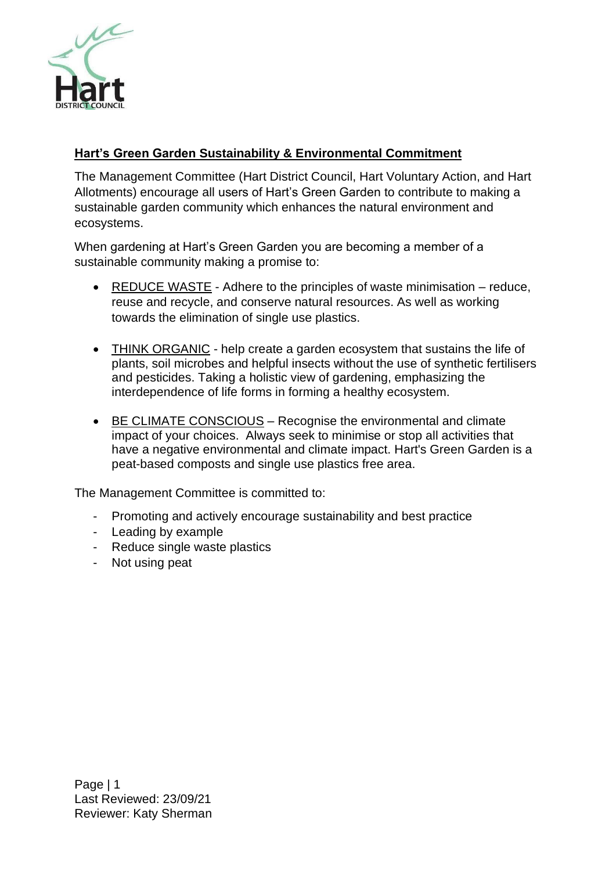

# **Hart's Green Garden Sustainability & Environmental Commitment**

The Management Committee (Hart District Council, Hart Voluntary Action, and Hart Allotments) encourage all users of Hart's Green Garden to contribute to making a sustainable garden community which enhances the natural environment and ecosystems.

When gardening at Hart's Green Garden you are becoming a member of a sustainable community making a promise to:

- REDUCE WASTE Adhere to the principles of waste minimisation reduce, reuse and recycle, and conserve natural resources. As well as working towards the elimination of single use plastics.
- THINK ORGANIC help create a garden ecosystem that sustains the life of plants, soil microbes and helpful insects without the use of synthetic fertilisers and pesticides. Taking a holistic view of gardening, emphasizing the interdependence of life forms in forming a healthy ecosystem.
- BE CLIMATE CONSCIOUS Recognise the environmental and climate impact of your choices. Always seek to minimise or stop all activities that have a negative environmental and climate impact. Hart's Green Garden is a peat-based composts and single use plastics free area.

The Management Committee is committed to:

- Promoting and actively encourage sustainability and best practice
- Leading by example
- Reduce single waste plastics
- Not using peat

Page | 1 Last Reviewed: 23/09/21 Reviewer: Katy Sherman